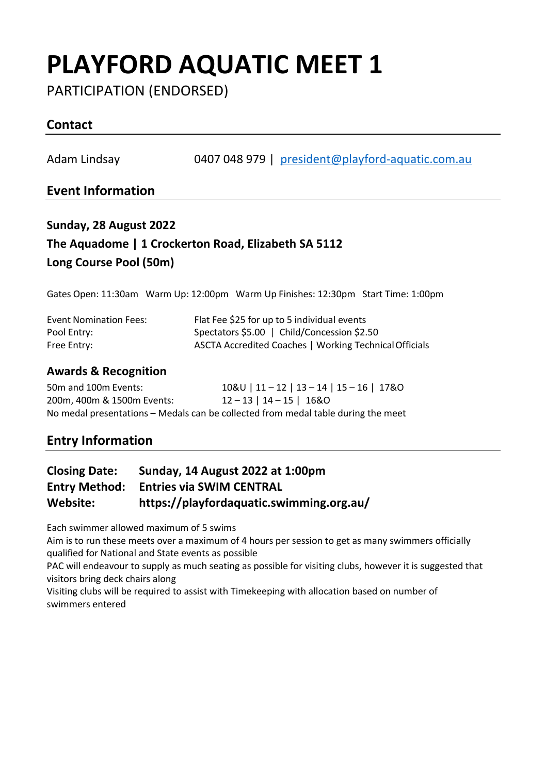# **PLAYFORD AQUATIC MEET 1**

PARTICIPATION (ENDORSED)

## **Contact**

Adam Lindsay 0407 048 979 | [president@playford-aquatic.com.au](mailto:president@playford-aquatic.com.au)

### **Event Information**

## **Sunday, 28 August 2022 The Aquadome | 1 Crockerton Road, Elizabeth SA 5112 Long Course Pool (50m)**

Gates Open: 11:30am Warm Up: 12:00pm Warm Up Finishes: 12:30pm Start Time: 1:00pm

| <b>Event Nomination Fees:</b> | Flat Fee \$25 for up to 5 individual events            |
|-------------------------------|--------------------------------------------------------|
| Pool Entry:                   | Spectators \$5.00   Child/Concession \$2.50            |
| Free Entry:                   | ASCTA Accredited Coaches   Working Technical Officials |

#### **Awards & Recognition**

| 50m and 100m Events:       | $10&0$   11 - 12   13 - 14   15 - 16   17&0                                       |
|----------------------------|-----------------------------------------------------------------------------------|
| 200m. 400m & 1500m Events: | 12 - 13   14 - 15   16&0                                                          |
|                            | No medal presentations – Medals can be collected from medal table during the meet |

### **Entry Information**

## **Closing Date: Sunday, 14 August 2022 at 1:00pm Entry Method: Entries via SWIM CENTRAL Website: https://playfordaquatic.swimming.org.au/**

Each swimmer allowed maximum of 5 swims

Aim is to run these meets over a maximum of 4 hours per session to get as many swimmers officially qualified for National and State events as possible

PAC will endeavour to supply as much seating as possible for visiting clubs, however it is suggested that visitors bring deck chairs along

Visiting clubs will be required to assist with Timekeeping with allocation based on number of swimmers entered